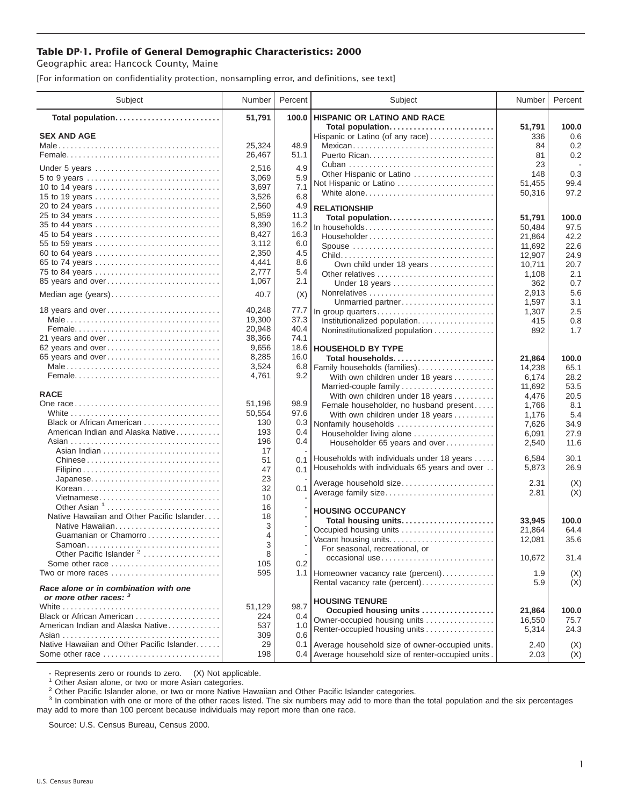## **Table DP-1. Profile of General Demographic Characteristics: 2000**

Geographic area: Hancock County, Maine

[For information on confidentiality protection, nonsampling error, and definitions, see text]

| Subject                                                                                                 | Number         | Percent      | Subject                                                         | Number              | Percent             |
|---------------------------------------------------------------------------------------------------------|----------------|--------------|-----------------------------------------------------------------|---------------------|---------------------|
| Total population                                                                                        | 51,791         | 100.0        | <b>HISPANIC OR LATINO AND RACE</b>                              |                     |                     |
| <b>SEX AND AGE</b>                                                                                      | 25,324         | 48.9         | Total population<br>Hispanic or Latino (of any race)<br>Mexican | 51,791<br>336<br>84 | 100.0<br>0.6<br>0.2 |
|                                                                                                         | 26,467         | 51.1         |                                                                 | 81<br>23            | 0.2                 |
| Under 5 years                                                                                           | 2,516<br>3,069 | 4.9<br>5.9   | Other Hispanic or Latino                                        | 148                 | 0.3                 |
| 5 to 9 years<br>10 to 14 years                                                                          | 3,697          | 7.1          | Not Hispanic or Latino                                          | 51,455              | 99.4                |
| 15 to 19 years                                                                                          | 3,526          | 6.8          | White alone                                                     | 50,316              | 97.2                |
|                                                                                                         | 2,560          | 4.9          | <b>RELATIONSHIP</b>                                             |                     |                     |
| 25 to 34 years                                                                                          | 5,859          | 11.3         | Total population                                                | 51,791              | 100.0               |
| 35 to 44 years<br>45 to 54 years                                                                        | 8,390<br>8,427 | 16.2<br>16.3 | In households                                                   | 50,484              | 97.5                |
| 55 to 59 years                                                                                          | 3,112          | 6.0          | Householder                                                     | 21,864              | 42.2                |
| 60 to 64 years                                                                                          | 2,350          | 4.5          | Spouse                                                          | 11,692<br>12,907    | 22.6<br>24.9        |
| 65 to 74 years                                                                                          | 4,441          | 8.6          | Own child under 18 years                                        | 10,711              | 20.7                |
| 75 to 84 years                                                                                          | 2,777          | 5.4          |                                                                 | 1,108               | 2.1                 |
| 85 years and over                                                                                       | 1,067          | 2.1          | Under 18 years                                                  | 362                 | 0.7                 |
| Median age (years)                                                                                      | 40.7           | (X)          |                                                                 | 2.913               | 5.6                 |
| 18 years and over                                                                                       | 40,248         | 77.7         | Unmarried partner                                               | 1,597               | 3.1                 |
|                                                                                                         | 19,300         | 37.3         | In group quarters<br>Institutionalized population               | 1,307<br>415        | 2.5<br>0.8          |
|                                                                                                         | 20,948         | 40.4         | Noninstitutionalized population                                 | 892                 | 1.7                 |
| 21 years and over                                                                                       | 38,366         | 74.1         |                                                                 |                     |                     |
| 62 years and over                                                                                       | 9,656          |              | 18.6   HOUSEHOLD BY TYPE                                        |                     |                     |
| 65 years and over                                                                                       | 8,285          | 16.0         | Total households                                                | 21,864              | 100.0               |
|                                                                                                         | 3,524<br>4,761 | 6.8<br>9.2   | Family households (families)                                    | 14,238              | 65.1                |
|                                                                                                         |                |              | With own children under 18 years<br>Married-couple family       | 6,174<br>11,692     | 28.2<br>53.5        |
| <b>RACE</b>                                                                                             |                |              | With own children under 18 years                                | 4,476               | 20.5                |
|                                                                                                         | 51,196         | 98.9         | Female householder, no husband present                          | 1,766               | 8.1                 |
|                                                                                                         | 50,554         | 97.6         | With own children under 18 years                                | 1,176               | 5.4                 |
| Black or African American                                                                               | 130            | 0.3          | Nonfamily households                                            | 7,626               | 34.9                |
| American Indian and Alaska Native                                                                       | 193<br>196     | 0.4<br>0.4   | Householder living alone                                        | 6,091               | 27.9                |
|                                                                                                         | 17             |              | Householder 65 years and over                                   | 2,540               | 11.6                |
| Chinese                                                                                                 | 51             | 0.1          | Households with individuals under 18 years                      | 6,584               | 30.1                |
|                                                                                                         | 47             | 0.1          | Households with individuals 65 years and over                   | 5,873               | 26.9                |
| Japanese                                                                                                | 23             |              | Average household size                                          | 2.31                | (X)                 |
| Korean<br>Vietnamese                                                                                    | 32<br>10       | 0.1          | Average family size                                             | 2.81                | (X)                 |
| Other Asian $1, \ldots, \ldots, \ldots, \ldots, \ldots, \ldots, \ldots$                                 | 16             |              |                                                                 |                     |                     |
| Native Hawaiian and Other Pacific Islander                                                              | 18             |              | <b>HOUSING OCCUPANCY</b>                                        |                     |                     |
| Native Hawaiian                                                                                         | 3              |              | Total housing units<br>Occupied housing units                   | 33,945<br>21,864    | 100.0<br>64.4       |
| Guamanian or Chamorro                                                                                   | 4              |              | Vacant housing units                                            | 12,081              | 35.6                |
| Samoan                                                                                                  | 3              |              | For seasonal, recreational, or                                  |                     |                     |
| Other Pacific Islander <sup>2</sup><br>Some other race $\ldots, \ldots, \ldots, \ldots, \ldots, \ldots$ | 8<br>105       | 0.2          | occasional use                                                  | 10,672              | 31.4                |
| Two or more races                                                                                       | 595            |              | 1.1   Homeowner vacancy rate (percent)                          | 1.9                 | (X)                 |
| Race alone or in combination with one                                                                   |                |              | Rental vacancy rate (percent)                                   | 5.9                 | (X)                 |
| or more other races: 3                                                                                  |                |              | <b>HOUSING TENURE</b>                                           |                     |                     |
| Black or African American                                                                               | 51,129<br>224  | 98.7<br>0.4  | Occupied housing units                                          | 21,864              | 100.0               |
| American Indian and Alaska Native                                                                       | 537            | 1.0          | Owner-occupied housing units                                    | 16,550              | 75.7                |
|                                                                                                         | 309            | 0.6          | Renter-occupied housing units                                   | 5,314               | 24.3                |
| Native Hawaiian and Other Pacific Islander                                                              | 29             | 0.1          | Average household size of owner-occupied units.                 | 2.40                | (X)                 |
| Some other race                                                                                         | 198            |              | 0.4 Average household size of renter-occupied units.            | 2.03                | (X)                 |

- Represents zero or rounds to zero. (X) Not applicable.<br><sup>1</sup> Other Asian alone, or two or more Asian categories.

<sup>2</sup> Other Pacific Islander alone, or two or more Native Hawaiian and Other Pacific Islander categories.<br><sup>3</sup> In combination with one or more of the other races listed. The six numbers may add to more than the total populati may add to more than 100 percent because individuals may report more than one race.

Source: U.S. Census Bureau, Census 2000.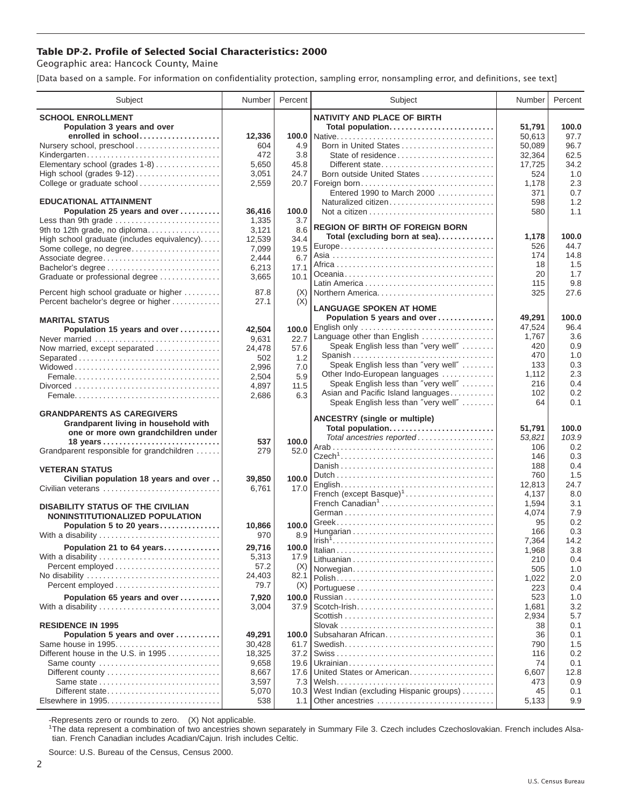## **Table DP-2. Profile of Selected Social Characteristics: 2000**

Geographic area: Hancock County, Maine

[Data based on a sample. For information on confidentiality protection, sampling error, nonsampling error, and definitions, see text]

| Subject                                                     | Number         | Percent     | Subject                                 | Number        | Percent    |
|-------------------------------------------------------------|----------------|-------------|-----------------------------------------|---------------|------------|
| <b>SCHOOL ENROLLMENT</b>                                    |                |             | <b>NATIVITY AND PLACE OF BIRTH</b>      |               |            |
| Population 3 years and over                                 |                |             | Total population                        | 51,791        | 100.0      |
| enrolled in school                                          | 12,336         | 100.0       |                                         | 50,613        | 97.7       |
| Nursery school, preschool                                   | 604            | 4.9         | Born in United States                   | 50,089        | 96.7       |
| Kindergarten                                                | 472            | 3.8         |                                         | 32,364        | 62.5       |
| Elementary school (grades 1-8)                              | 5,650          | 45.8        | Different state                         | 17,725        | 34.2       |
|                                                             | 3,051          | 24.7        | Born outside United States              | 524           | 1.0        |
| College or graduate school                                  | 2,559          | 20.7        | Foreign born                            | 1,178         | 2.3        |
|                                                             |                |             | Entered 1990 to March 2000              | 371           | 0.7        |
| <b>EDUCATIONAL ATTAINMENT</b>                               |                |             | Naturalized citizen                     | 598           | 1.2        |
| Population 25 years and over<br>Less than 9th grade         | 36.416         | 100.0       |                                         | 580           | 1.1        |
| 9th to 12th grade, no diploma                               | 1,335<br>3,121 | 3.7<br>8.6  | <b>REGION OF BIRTH OF FOREIGN BORN</b>  |               |            |
| High school graduate (includes equivalency)                 | 12,539         | 34.4        | Total (excluding born at sea)           | 1,178         | 100.0      |
| Some college, no degree                                     | 7,099          | 19.5        |                                         | 526           | 44.7       |
| Associate degree                                            | 2,444          | 6.7         |                                         | 174           | 14.8       |
| Bachelor's degree                                           | 6,213          | 17.1        |                                         | 18            | 1.5        |
| Graduate or professional degree                             | 3,665          | 10.1        |                                         | 20            | 1.7        |
|                                                             |                |             |                                         | 115           | 9.8        |
| Percent high school graduate or higher                      | 87.8           | (X)         |                                         | 325           | 27.6       |
| Percent bachelor's degree or higher                         | 27.1           | (X)         | <b>LANGUAGE SPOKEN AT HOME</b>          |               |            |
| <b>MARITAL STATUS</b>                                       |                |             | Population 5 years and over             | 49,291        | 100.0      |
| Population 15 years and over                                | 42,504         | 100.0       |                                         | 47.524        | 96.4       |
| Never married                                               | 9,631          | 22.7        | Language other than English             | 1,767         | 3.6        |
| Now married, except separated                               | 24,478         | 57.6        | Speak English less than "very well"     | 420           | 0.9        |
| Separated                                                   | 502            | 1.2         | Spanish                                 | 470           | 1.0        |
|                                                             | 2,996          | 7.0         | Speak English less than "very well"     | 133           | 0.3        |
|                                                             | 2,504          | 5.9         | Other Indo-European languages           | 1,112         | 2.3        |
|                                                             | 4,897          | 11.5        | Speak English less than "very well"     | 216           | 0.4        |
|                                                             | 2,686          | 6.3         | Asian and Pacific Island languages      | 102<br>64     | 0.2<br>0.1 |
| <b>GRANDPARENTS AS CAREGIVERS</b>                           |                |             | Speak English less than "very well"     |               |            |
| Grandparent living in household with                        |                |             | <b>ANCESTRY (single or multiple)</b>    |               |            |
| one or more own grandchildren under                         |                |             | Total population                        | 51,791        | 100.0      |
| 18 years                                                    | 537            | 100.0       | Total ancestries reported               | 53,821        | 103.9      |
| Grandparent responsible for grandchildren                   | 279            | 52.0        |                                         | 106           | 0.2        |
|                                                             |                |             |                                         | 146           | 0.3        |
| <b>VETERAN STATUS</b>                                       |                |             |                                         | 188           | 0.4<br>1.5 |
| Civilian population 18 years and over                       | 39,850         | 100.0       |                                         | 760<br>12.813 | 24.7       |
| Civilian veterans                                           | 6,761          | 17.0        | French (except Basque) <sup>1</sup>     | 4,137         | 8.0        |
|                                                             |                |             | French Canadian <sup>1</sup>            | 1,594         | 3.1        |
| <b>DISABILITY STATUS OF THE CIVILIAN</b>                    |                |             |                                         | 4,074         | 7.9        |
| NONINSTITUTIONALIZED POPULATION<br>Population 5 to 20 years |                | 100.0       |                                         | 95            | 0.2        |
| With a disability                                           | 10,866<br>970  | 8.9         |                                         | 166           | 0.3        |
|                                                             | 29,716         |             |                                         | 7,364         | 14.2       |
| Population 21 to 64 years                                   |                | 100.0       |                                         | 1,968         | 3.8        |
| With a disability                                           | 5,313<br>57.2  | 17.9<br>(X) |                                         | 210           | 0.4        |
| No disability                                               | 24,403         | 82.1        | Norwegian                               | 505           | 1.0        |
|                                                             | 79.7           | (X)         |                                         | 1,022         | 2.0        |
|                                                             |                | 100.0       |                                         | 223<br>523    | 0.4<br>1.0 |
| Population 65 years and over<br>With a disability           | 7,920<br>3,004 | 37.9        |                                         | 1,681         | 3.2        |
|                                                             |                |             |                                         | 2,934         | 5.7        |
| <b>RESIDENCE IN 1995</b>                                    |                |             |                                         | 38            | 0.1        |
| Population 5 years and over                                 | 49,291         | 100.0       | Subsaharan African                      | 36            | 0.1        |
| Same house in 1995                                          | 30,428         | 61.7        |                                         | 790           | 1.5        |
| Different house in the U.S. in 1995                         | 18,325         | 37.2        |                                         | 116           | 0.2        |
| Same county                                                 | 9,658          | 19.6        |                                         | 74            | 0.1        |
| Different county                                            | 8,667          | 17.6        | United States or American               | 6,607         | 12.8       |
| Same state                                                  | 3,597          | 7.3         |                                         | 473           | 0.9        |
| Different state                                             | 5,070          | 10.3        | West Indian (excluding Hispanic groups) | 45            | 0.1        |
| Elsewhere in 1995                                           | 538            | 1.1         | Other ancestries                        | 5,133         | 9.9        |

-Represents zero or rounds to zero. (X) Not applicable. 1 The data represent a combination of two ancestries shown separately in Summary File 3. Czech includes Czechoslovakian. French includes Alsatian. French Canadian includes Acadian/Cajun. Irish includes Celtic.

Source: U.S. Bureau of the Census, Census 2000.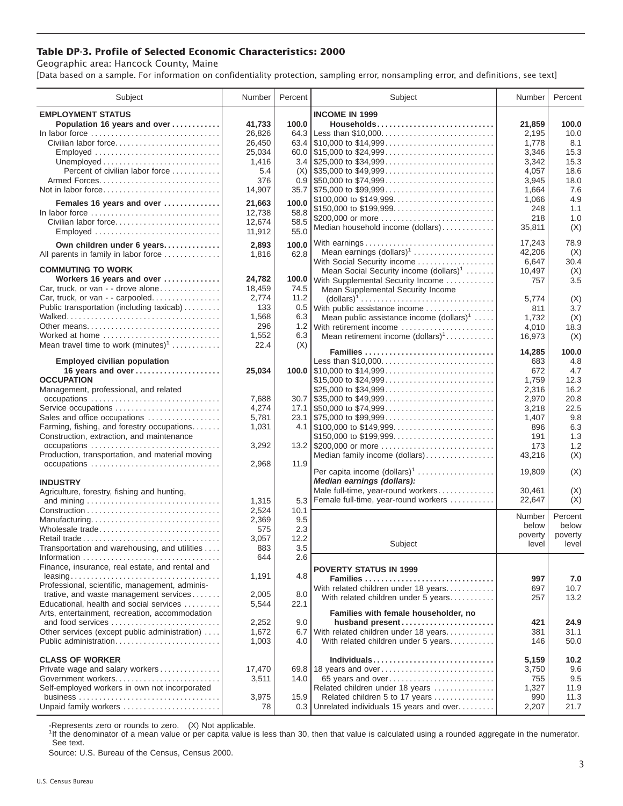## **Table DP-3. Profile of Selected Economic Characteristics: 2000**

Geographic area: Hancock County, Maine

[Data based on a sample. For information on confidentiality protection, sampling error, nonsampling error, and definitions, see text]

| Subject                                                                            | Number | Percent | Subject                                                                                | Number  | Percent |
|------------------------------------------------------------------------------------|--------|---------|----------------------------------------------------------------------------------------|---------|---------|
| <b>EMPLOYMENT STATUS</b>                                                           |        |         | <b>INCOME IN 1999</b>                                                                  |         |         |
| Population 16 years and over                                                       | 41,733 | 100.0   | Households                                                                             | 21,859  | 100.0   |
| In labor force                                                                     | 26,826 | 64.3    | Less than \$10,000                                                                     | 2,195   | 10.0    |
| Civilian labor force                                                               | 26,450 |         |                                                                                        | 1,778   | 8.1     |
|                                                                                    | 25,034 |         | 60.0 $\frac{1}{315,000}$ to $\frac{24,999}{2000000}$                                   | 3,346   | 15.3    |
| Unemployed $\ldots \ldots \ldots \ldots \ldots \ldots \ldots \ldots$               | 1,416  |         |                                                                                        | 3,342   | 15.3    |
| Percent of civilian labor force                                                    | 5.4    | (X)     | $\frac{1}{2}$ \$35,000 to \$49,999                                                     | 4,057   | 18.6    |
|                                                                                    | 376    |         | $0.9$   \$50,000 to \$74,999                                                           | 3,945   | 18.0    |
| Not in labor force                                                                 |        |         | $35.7$ \\ \$75,000 to \$99,999                                                         | 1,664   | 7.6     |
|                                                                                    | 14,907 |         | \$100,000 to \$149,999                                                                 |         | 4.9     |
| Females 16 years and over                                                          | 21.663 | 100.0   |                                                                                        | 1,066   | 1.1     |
| In labor force $\dots\dots\dots\dots\dots\dots\dots\dots\dots\dots\dots\dots\dots$ | 12,738 | 58.8    |                                                                                        | 248     |         |
| Civilian labor force                                                               | 12,674 | 58.5    | \$200,000 or more                                                                      | 218     | 1.0     |
| Employed                                                                           | 11,912 | 55.0    | Median household income (dollars)                                                      | 35,811  | (X)     |
| Own children under 6 years                                                         | 2,893  | 100.0   | With earnings                                                                          | 17,243  | 78.9    |
| All parents in family in labor force                                               | 1,816  | 62.8    | Mean earnings $(dollars)1$                                                             | 42,206  | (X)     |
|                                                                                    |        |         | With Social Security income                                                            | 6,647   | 30.4    |
| <b>COMMUTING TO WORK</b>                                                           |        |         | Mean Social Security income (dollars) <sup>1</sup>                                     | 10,497  | (X)     |
| Workers 16 years and over                                                          | 24,782 |         | 100.0 With Supplemental Security Income                                                | 757     | 3.5     |
| Car, truck, or van - - drove alone                                                 | 18,459 | 74.5    | Mean Supplemental Security Income                                                      |         |         |
| Car, truck, or van - - carpooled                                                   | 2,774  | 11.2    | $\text{(dollars)}^1 \dots \dots \dots \dots \dots \dots \dots \dots \dots \dots \dots$ | 5,774   | (X)     |
| Public transportation (including taxicab)                                          | 133    | 0.5     | With public assistance income                                                          | 811     | 3.7     |
|                                                                                    | 1,568  | 6.3     | Mean public assistance income $(dollars)1 \ldots$ .                                    | 1,732   | (X)     |
| Other means                                                                        | 296    | 1.2     | With retirement income                                                                 | 4,010   | 18.3    |
| Worked at home                                                                     | 1,552  | 6.3     | Mean retirement income $(dollars)1$                                                    | 16,973  | (X)     |
| Mean travel time to work $(minutes)^1$                                             | 22.4   | (X)     |                                                                                        |         |         |
|                                                                                    |        |         | Families                                                                               | 14,285  | 100.0   |
| <b>Employed civilian population</b>                                                |        |         | Less than \$10,000                                                                     | 683     | 4.8     |
| 16 years and over                                                                  | 25,034 |         |                                                                                        | 672     | 4.7     |
| <b>OCCUPATION</b>                                                                  |        |         | \$15,000 to \$24,999                                                                   | 1,759   | 12.3    |
| Management, professional, and related                                              |        |         |                                                                                        | 2,316   | 16.2    |
|                                                                                    | 7,688  |         | $30.7$ \\$35,000 to \$49,999                                                           | 2,970   | 20.8    |
| Service occupations                                                                | 4,274  |         |                                                                                        | 3,218   | 22.5    |
| Sales and office occupations                                                       | 5,781  |         | 23.1 \$75,000 to \$99,999                                                              | 1,407   | 9.8     |
| Farming, fishing, and forestry occupations                                         | 1,031  |         |                                                                                        | 896     | 6.3     |
| Construction, extraction, and maintenance                                          |        |         | \$150,000 to \$199,999                                                                 | 191     | 1.3     |
| occupations                                                                        | 3,292  |         |                                                                                        | 173     | 1.2     |
| Production, transportation, and material moving                                    |        |         | Median family income (dollars)                                                         | 43,216  | (X)     |
| occupations                                                                        | 2,968  | 11.9    |                                                                                        |         |         |
|                                                                                    |        |         | Per capita income $(dollars)1$<br>Median earnings (dollars):                           | 19,809  | (X)     |
| <b>INDUSTRY</b>                                                                    |        |         |                                                                                        |         |         |
| Agriculture, forestry, fishing and hunting,                                        |        |         | Male full-time, year-round workers<br>Female full-time, year-round workers             | 30,461  | (X)     |
|                                                                                    | 1,315  | 5.3     |                                                                                        | 22,647  | (X)     |
|                                                                                    | 2,524  | 10.1    |                                                                                        | Number  | Percent |
| Manufacturing<br>Wholesale trade                                                   | 2,369  | 9.5     |                                                                                        | below   | below   |
|                                                                                    | 575    | 2.3     |                                                                                        | poverty | poverty |
| Retail trade                                                                       | 3,057  | 12.2    | Subject                                                                                | level   | level   |
| Transportation and warehousing, and utilities                                      | 883    | 3.5     |                                                                                        |         |         |
| Finance, insurance, real estate, and rental and                                    | 644    | 2.6     |                                                                                        |         |         |
|                                                                                    | 1,191  | 4.8     | <b>POVERTY STATUS IN 1999</b>                                                          |         |         |
| Professional, scientific, management, adminis-                                     |        |         | Families                                                                               | 997     | 7.0     |
| trative, and waste management services                                             | 2,005  | 8.0     | With related children under 18 years                                                   | 697     | 10.7    |
| Educational, health and social services                                            | 5,544  | 22.1    | With related children under 5 years                                                    | 257     | 13.2    |
| Arts, entertainment, recreation, accommodation                                     |        |         | Families with female householder, no                                                   |         |         |
| and food services                                                                  | 2,252  | 9.0     | husband present                                                                        | 421     | 24.9    |
| Other services (except public administration)                                      | 1,672  | 6.7     | With related children under 18 years                                                   | 381     | 31.1    |
| Public administration                                                              | 1,003  | 4.0     | With related children under 5 years                                                    | 146     | 50.0    |
|                                                                                    |        |         |                                                                                        |         |         |
| <b>CLASS OF WORKER</b>                                                             |        |         | Individuals                                                                            | 5,159   | 10.2    |
| Private wage and salary workers                                                    | 17,470 |         | 69.8 18 years and over                                                                 | 3,750   | 9.6     |
| Government workers                                                                 | 3,511  | 14.0    | 65 years and over                                                                      | 755     | 9.5     |
| Self-employed workers in own not incorporated                                      |        |         | Related children under 18 years                                                        | 1,327   | 11.9    |
|                                                                                    | 3,975  | 15.9    | Related children 5 to 17 years                                                         | 990     | 11.3    |
| Unpaid family workers                                                              | 78     |         | 0.3 Unrelated individuals 15 years and over                                            | 2,207   | 21.7    |

-Represents zero or rounds to zero. (X) Not applicable.

<sup>1</sup>If the denominator of a mean value or per capita value is less than 30, then that value is calculated using a rounded aggregate in the numerator. See text.

Source: U.S. Bureau of the Census, Census 2000.